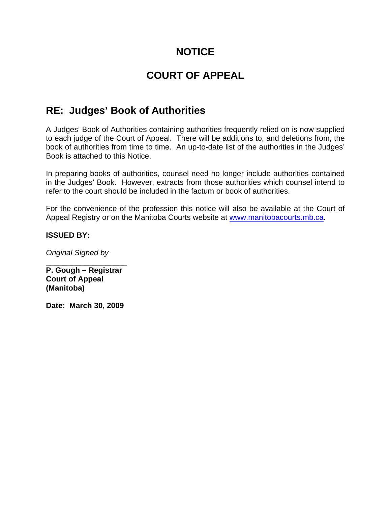## **NOTICE**

# **COURT OF APPEAL**

# **RE: Judges' Book of Authorities**

A Judges' Book of Authorities containing authorities frequently relied on is now supplied to each judge of the Court of Appeal. There will be additions to, and deletions from, the book of authorities from time to time. An up-to-date list of the authorities in the Judges' Book is attached to this Notice.

In preparing books of authorities, counsel need no longer include authorities contained in the Judges' Book. However, extracts from those authorities which counsel intend to refer to the court should be included in the factum or book of authorities.

For the convenience of the profession this notice will also be available at the Court of Appeal Registry or on the Manitoba Courts website at www.manitobacourts.mb.ca.

### **ISSUED BY:**

*Original Signed by* 

\_\_\_\_\_\_\_\_\_\_\_\_\_\_\_\_\_\_\_ **P. Gough – Registrar Court of Appeal (Manitoba)** 

**Date: March 30, 2009**